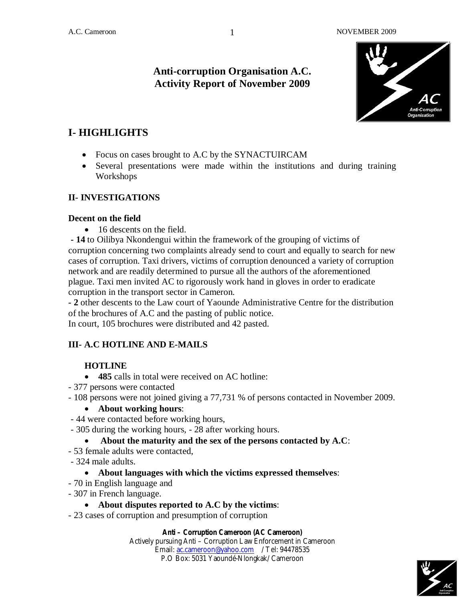## **Anti-corruption Organisation A.C. Activity Report of November 2009**



# **I- HIGHLIGHTS**

- Focus on cases brought to A.C by the SYNACTUIRCAM
- Several presentations were made within the institutions and during training Workshops

### **II- INVESTIGATIONS**

#### **Decent on the field**

• 16 descents on the field.

**- 14** to Oilibya Nkondengui within the framework of the grouping of victims of corruption concerning two complaints already send to court and equally to search for new cases of corruption. Taxi drivers, victims of corruption denounced a variety of corruption network and are readily determined to pursue all the authors of the aforementioned plague. Taxi men invited AC to rigorously work hand in gloves in order to eradicate corruption in the transport sector in Cameron.

**- 2** other descents to the Law court of Yaounde Administrative Centre for the distribution of the brochures of A.C and the pasting of public notice.

In court, 105 brochures were distributed and 42 pasted.

### **III- A.C HOTLINE AND E-MAILS**

### **HOTLINE**

- **485** calls in total were received on AC hotline:
- 377 persons were contacted
- 108 persons were not joined giving a 77,731 % of persons contacted in November 2009.

#### **About working hours**:

- 44 were contacted before working hours,
- 305 during the working hours, 28 after working hours.

#### **About the maturity and the sex of the persons contacted by A.C**:

- 53 female adults were contacted,
- 324 male adults.
	- **About languages with which the victims expressed themselves**:
- 70 in English language and
- 307 in French language.

#### **About disputes reported to A.C by the victims**:

- 23 cases of corruption and presumption of corruption

#### **Anti – Corruption Cameroon (AC Cameroon)**

Actively pursuing Anti – Corruption Law Enforcement in Cameroon Email: ac.cameroon@yahoo.com / Tel: 94478535 P.O Box: 5031 Yaoundé-Nlongkak/ Cameroon



1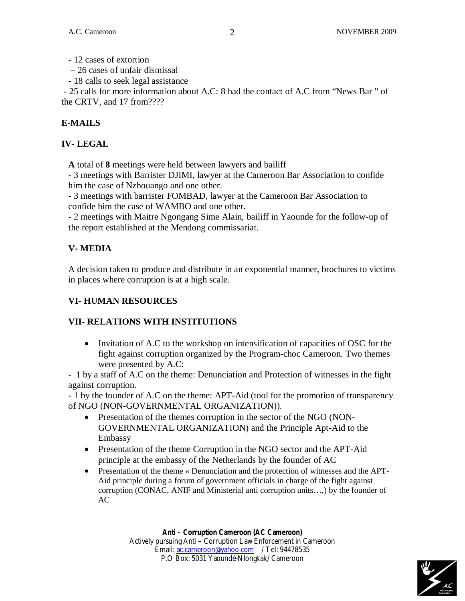- 12 cases of extortion

– 26 cases of unfair dismissal

- 18 calls to seek legal assistance

- 25 calls for more information about A.C: 8 had the contact of A.C from "News Bar " of the CRTV, and 17 from????

## **E-MAILS**

### **IV- LEGAL**

**A** total of **8** meetings were held between lawyers and bailiff

- 3 meetings with Barrister DJIMI, lawyer at the Cameroon Bar Association to confide him the case of Nzhouango and one other.

- 3 meetings with barrister FOMBAD, lawyer at the Cameroon Bar Association to confide him the case of WAMBO and one other.

- 2 meetings with Maitre Ngongang Sime Alain, bailiff in Yaounde for the follow-up of the report established at the Mendong commissariat.

## **V- MEDIA**

A decision taken to produce and distribute in an exponential manner, brochures to victims in places where corruption is at a high scale.

## **VI- HUMAN RESOURCES**

## **VII- RELATIONS WITH INSTITUTIONS**

 Invitation of A.C to the workshop on intensification of capacities of OSC for the fight against corruption organized by the Program-choc Cameroon. Two themes were presented by A.C:

- 1 by a staff of A.C on the theme: Denunciation and Protection of witnesses in the fight against corruption.

- 1 by the founder of A.C on the theme: APT-Aid (tool for the promotion of transparency of NGO (NON-GOVERNMENTAL ORGANIZATION)).

- Presentation of the themes corruption in the sector of the NGO (NON-GOVERNMENTAL ORGANIZATION) and the Principle Apt-Aid to the Embassy
- Presentation of the theme Corruption in the NGO sector and the APT-Aid principle at the embassy of the Netherlands by the founder of AC
- Presentation of the theme « Denunciation and the protection of witnesses and the APT-Aid principle during a forum of government officials in charge of the fight against corruption (CONAC, ANIF and Ministerial anti corruption units…,) by the founder of AC

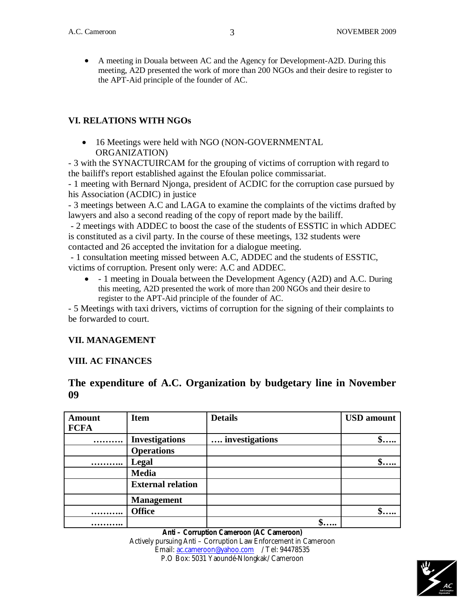A meeting in Douala between AC and the Agency for Development-A2D. During this meeting, A2D presented the work of more than 200 NGOs and their desire to register to the APT-Aid principle of the founder of AC.

#### **VI. RELATIONS WITH NGOs**

• 16 Meetings were held with NGO (NON-GOVERNMENTAL ORGANIZATION)

- 3 with the SYNACTUIRCAM for the grouping of victims of corruption with regard to the bailiff's report established against the Efoulan police commissariat.

- 1 meeting with Bernard Njonga, president of ACDIC for the corruption case pursued by his Association (ACDIC) in justice

- 3 meetings between A.C and LAGA to examine the complaints of the victims drafted by lawyers and also a second reading of the copy of report made by the bailiff.

- 2 meetings with ADDEC to boost the case of the students of ESSTIC in which ADDEC is constituted as a civil party. In the course of these meetings, 132 students were contacted and 26 accepted the invitation for a dialogue meeting.

- 1 consultation meeting missed between A.C, ADDEC and the students of ESSTIC, victims of corruption. Present only were: A.C and ADDEC.

 - 1 meeting in Douala between the Development Agency (A2D) and A.C. During this meeting, A2D presented the work of more than 200 NGOs and their desire to register to the APT-Aid principle of the founder of AC.

- 5 Meetings with taxi drivers, victims of corruption for the signing of their complaints to be forwarded to court.

### **VII. MANAGEMENT**

#### **VIII. AC FINANCES**

### **The expenditure of A.C. Organization by budgetary line in November 09**

| <b>Amount</b> | <b>Item</b>              | <b>Details</b> | <b>USD</b> amount |
|---------------|--------------------------|----------------|-------------------|
| <b>FCFA</b>   |                          |                |                   |
|               | <b>Investigations</b>    | investigations | $\mathbb{S}$      |
|               | <b>Operations</b>        |                |                   |
|               | Legal                    |                | $S$               |
|               | <b>Media</b>             |                |                   |
|               | <b>External relation</b> |                |                   |
|               | <b>Management</b>        |                |                   |
| .             | <b>Office</b>            |                |                   |
| .             |                          | $\mathbf{v}$   |                   |

**Anti – Corruption Cameroon (AC Cameroon)** Actively pursuing Anti – Corruption Law Enforcement in Cameroon Email: ac.cameroon@yahoo.com / Tel: 94478535 P.O Box: 5031 Yaoundé-Nlongkak/ Cameroon